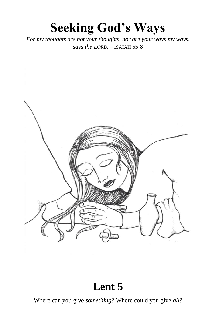# **Seeking God's Ways**

For my thoughts are not your thoughts, nor are your ways my ways, says the LORD. - ISAIAH 55:8



# Lent 5

Where can you give something? Where could you give all?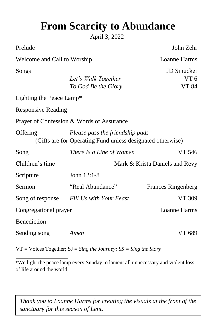# **From Scarcity to Abundance**

April 3, 2022

| Prelude                     |                                                                                               | John Zehr                                            |  |  |  |
|-----------------------------|-----------------------------------------------------------------------------------------------|------------------------------------------------------|--|--|--|
| Welcome and Call to Worship | Loanne Harms                                                                                  |                                                      |  |  |  |
| Songs                       | Let's Walk Together<br>To God Be the Glory                                                    | <b>JD</b> Smucker<br>VT <sub>6</sub><br><b>VT 84</b> |  |  |  |
| Lighting the Peace Lamp*    |                                                                                               |                                                      |  |  |  |
| <b>Responsive Reading</b>   |                                                                                               |                                                      |  |  |  |
|                             | Prayer of Confession & Words of Assurance                                                     |                                                      |  |  |  |
| Offering                    | Please pass the friendship pads<br>(Gifts are for Operating Fund unless designated otherwise) |                                                      |  |  |  |
| Song                        | There Is a Line of Women                                                                      | VT 546                                               |  |  |  |
| Children's time             | Mark & Krista Daniels and Revy                                                                |                                                      |  |  |  |
| Scripture                   | John 12:1-8                                                                                   |                                                      |  |  |  |
| Sermon                      | "Real Abundance"                                                                              | <b>Frances Ringenberg</b>                            |  |  |  |
|                             | Song of response Fill Us with Your Feast                                                      | VT 309                                               |  |  |  |
| Congregational prayer       |                                                                                               | <b>Loanne Harms</b>                                  |  |  |  |
| Benediction                 |                                                                                               |                                                      |  |  |  |
| Sending song                | Amen                                                                                          | VT 689                                               |  |  |  |

VT = Voices Together; SJ = *Sing the Journey; SS = Sing the Story* 

\*We light the peace lamp every Sunday to lament all unnecessary and violent loss of life around the world.

*Thank you to Loanne Harms for creating the visuals at the front of the sanctuary for this season of Lent.*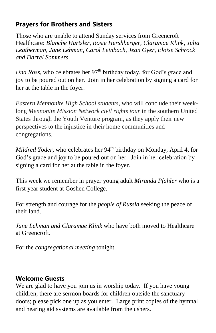# **Prayers for Brothers and Sisters**

Those who are unable to attend Sunday services from Greencroft Healthcare: *Blanche Hartzler, Rosie Hershberger, Claramae Klink, Julia Leatherman, Jane Lehman, Carol Leinbach, Jean Oyer, Eloise Schrock and Darrel Sommers.*

*Una Ross,* who celebrates her  $97<sup>th</sup>$  birthday today, for God's grace and joy to be poured out on her. Join in her celebration by signing a card for her at the table in the foyer.

*Eastern Mennonite High School students,* who will conclude their weeklong *Mennonite Mission Network civil rights tour* in the southern United States through the Youth Venture program, as they apply their new perspectives to the injustice in their home communities and congregations.

*Mildred Yoder*, who celebrates her 94<sup>th</sup> birthday on Monday, April 4, for God's grace and joy to be poured out on her. Join in her celebration by signing a card for her at the table in the foyer.

This week we remember in prayer young adult *Miranda Pfahler* who is a first year student at Goshen College.

For strength and courage for the *people of Russia* seeking the peace of their land.

*Jane Lehman and Claramae Klink* who have both moved to Healthcare at Greencroft.

For the *congregational meeting* tonight.

## **Welcome Guests**

We are glad to have you join us in worship today. If you have young children, there are sermon boards for children outside the sanctuary doors; please pick one up as you enter. Large print copies of the hymnal and hearing aid systems are available from the ushers.